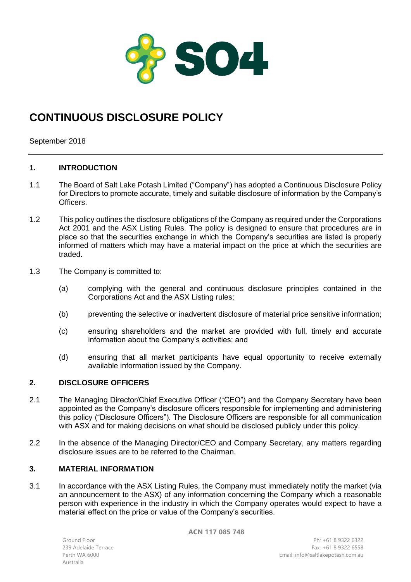

# **CONTINUOUS DISCLOSURE POLICY**

September 2018

# **1. INTRODUCTION**

- 1.1 The Board of Salt Lake Potash Limited ("Company") has adopted a Continuous Disclosure Policy for Directors to promote accurate, timely and suitable disclosure of information by the Company's Officers.
- 1.2 This policy outlines the disclosure obligations of the Company as required under the Corporations Act 2001 and the ASX Listing Rules. The policy is designed to ensure that procedures are in place so that the securities exchange in which the Company's securities are listed is properly informed of matters which may have a material impact on the price at which the securities are traded.
- 1.3 The Company is committed to:
	- (a) complying with the general and continuous disclosure principles contained in the Corporations Act and the ASX Listing rules;
	- (b) preventing the selective or inadvertent disclosure of material price sensitive information;
	- (c) ensuring shareholders and the market are provided with full, timely and accurate information about the Company's activities; and
	- (d) ensuring that all market participants have equal opportunity to receive externally available information issued by the Company.

# **2. DISCLOSURE OFFICERS**

- 2.1 The Managing Director/Chief Executive Officer ("CEO") and the Company Secretary have been appointed as the Company's disclosure officers responsible for implementing and administering this policy ("Disclosure Officers"). The Disclosure Officers are responsible for all communication with ASX and for making decisions on what should be disclosed publicly under this policy.
- 2.2 In the absence of the Managing Director/CEO and Company Secretary, any matters regarding disclosure issues are to be referred to the Chairman.

## **3. MATERIAL INFORMATION**

3.1 In accordance with the ASX Listing Rules, the Company must immediately notify the market (via an announcement to the ASX) of any information concerning the Company which a reasonable person with experience in the industry in which the Company operates would expect to have a material effect on the price or value of the Company's securities.

**ACN 117 085 748**

Ground Floor 239 Adelaide Terrace Australia

Ph: +61 8 9322 6322 Fax: +61 8 9322 6558 Perth WA 6000 Email: info@saltlakepotash.com.au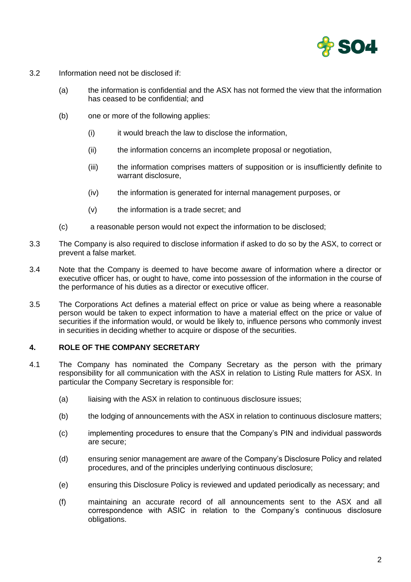

- 3.2 Information need not be disclosed if:
	- (a) the information is confidential and the ASX has not formed the view that the information has ceased to be confidential; and
	- (b) one or more of the following applies:
		- (i) it would breach the law to disclose the information,
		- (ii) the information concerns an incomplete proposal or negotiation,
		- (iii) the information comprises matters of supposition or is insufficiently definite to warrant disclosure,
		- (iv) the information is generated for internal management purposes, or
		- (v) the information is a trade secret; and
	- (c) a reasonable person would not expect the information to be disclosed;
- 3.3 The Company is also required to disclose information if asked to do so by the ASX, to correct or prevent a false market.
- 3.4 Note that the Company is deemed to have become aware of information where a director or executive officer has, or ought to have, come into possession of the information in the course of the performance of his duties as a director or executive officer.
- 3.5 The Corporations Act defines a material effect on price or value as being where a reasonable person would be taken to expect information to have a material effect on the price or value of securities if the information would, or would be likely to, influence persons who commonly invest in securities in deciding whether to acquire or dispose of the securities.

## **4. ROLE OF THE COMPANY SECRETARY**

- 4.1 The Company has nominated the Company Secretary as the person with the primary responsibility for all communication with the ASX in relation to Listing Rule matters for ASX. In particular the Company Secretary is responsible for:
	- (a) liaising with the ASX in relation to continuous disclosure issues;
	- (b) the lodging of announcements with the ASX in relation to continuous disclosure matters;
	- (c) implementing procedures to ensure that the Company's PIN and individual passwords are secure;
	- (d) ensuring senior management are aware of the Company's Disclosure Policy and related procedures, and of the principles underlying continuous disclosure;
	- (e) ensuring this Disclosure Policy is reviewed and updated periodically as necessary; and
	- (f) maintaining an accurate record of all announcements sent to the ASX and all correspondence with ASIC in relation to the Company's continuous disclosure obligations.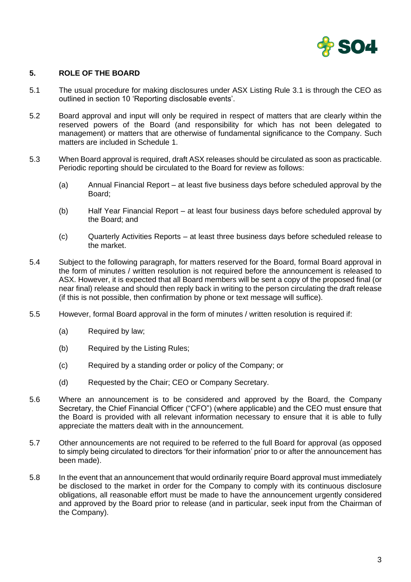

# **5. ROLE OF THE BOARD**

- 5.1 The usual procedure for making disclosures under ASX Listing Rule 3.1 is through the CEO as outlined in section 10 'Reporting disclosable events'.
- 5.2 Board approval and input will only be required in respect of matters that are clearly within the reserved powers of the Board (and responsibility for which has not been delegated to management) or matters that are otherwise of fundamental significance to the Company. Such matters are included in Schedule 1.
- 5.3 When Board approval is required, draft ASX releases should be circulated as soon as practicable. Periodic reporting should be circulated to the Board for review as follows:
	- (a) Annual Financial Report at least five business days before scheduled approval by the Board;
	- (b) Half Year Financial Report at least four business days before scheduled approval by the Board; and
	- (c) Quarterly Activities Reports at least three business days before scheduled release to the market.
- 5.4 Subject to the following paragraph, for matters reserved for the Board, formal Board approval in the form of minutes / written resolution is not required before the announcement is released to ASX. However, it is expected that all Board members will be sent a copy of the proposed final (or near final) release and should then reply back in writing to the person circulating the draft release (if this is not possible, then confirmation by phone or text message will suffice).
- 5.5 However, formal Board approval in the form of minutes / written resolution is required if:
	- (a) Required by law;
	- (b) Required by the Listing Rules;
	- (c) Required by a standing order or policy of the Company; or
	- (d) Requested by the Chair; CEO or Company Secretary.
- 5.6 Where an announcement is to be considered and approved by the Board, the Company Secretary, the Chief Financial Officer ("CFO") (where applicable) and the CEO must ensure that the Board is provided with all relevant information necessary to ensure that it is able to fully appreciate the matters dealt with in the announcement.
- 5.7 Other announcements are not required to be referred to the full Board for approval (as opposed to simply being circulated to directors 'for their information' prior to or after the announcement has been made).
- 5.8 In the event that an announcement that would ordinarily require Board approval must immediately be disclosed to the market in order for the Company to comply with its continuous disclosure obligations, all reasonable effort must be made to have the announcement urgently considered and approved by the Board prior to release (and in particular, seek input from the Chairman of the Company).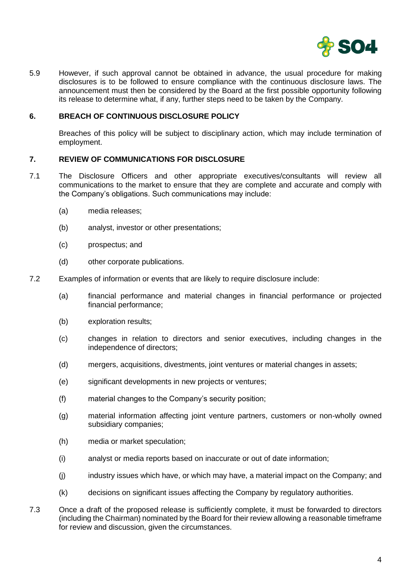

5.9 However, if such approval cannot be obtained in advance, the usual procedure for making disclosures is to be followed to ensure compliance with the continuous disclosure laws. The announcement must then be considered by the Board at the first possible opportunity following its release to determine what, if any, further steps need to be taken by the Company.

#### **6. BREACH OF CONTINUOUS DISCLOSURE POLICY**

Breaches of this policy will be subject to disciplinary action, which may include termination of employment.

#### **7. REVIEW OF COMMUNICATIONS FOR DISCLOSURE**

- 7.1 The Disclosure Officers and other appropriate executives/consultants will review all communications to the market to ensure that they are complete and accurate and comply with the Company's obligations. Such communications may include:
	- (a) media releases;
	- (b) analyst, investor or other presentations;
	- (c) prospectus; and
	- (d) other corporate publications.
- 7.2 Examples of information or events that are likely to require disclosure include:
	- (a) financial performance and material changes in financial performance or projected financial performance;
	- (b) exploration results;
	- (c) changes in relation to directors and senior executives, including changes in the independence of directors;
	- (d) mergers, acquisitions, divestments, joint ventures or material changes in assets;
	- (e) significant developments in new projects or ventures;
	- (f) material changes to the Company's security position;
	- (g) material information affecting joint venture partners, customers or non-wholly owned subsidiary companies;
	- (h) media or market speculation;
	- (i) analyst or media reports based on inaccurate or out of date information;
	- (j) industry issues which have, or which may have, a material impact on the Company; and
	- (k) decisions on significant issues affecting the Company by regulatory authorities.
- 7.3 Once a draft of the proposed release is sufficiently complete, it must be forwarded to directors (including the Chairman) nominated by the Board for their review allowing a reasonable timeframe for review and discussion, given the circumstances.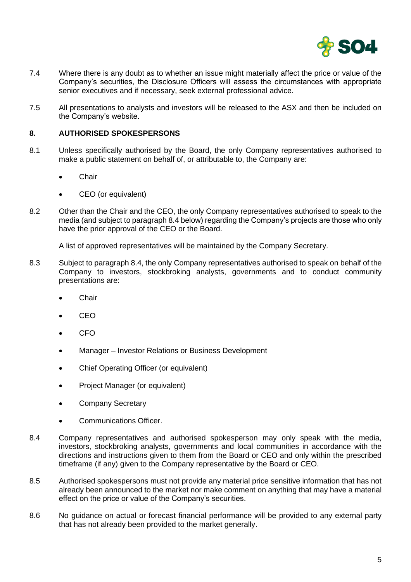

- 7.4 Where there is any doubt as to whether an issue might materially affect the price or value of the Company's securities, the Disclosure Officers will assess the circumstances with appropriate senior executives and if necessary, seek external professional advice.
- 7.5 All presentations to analysts and investors will be released to the ASX and then be included on the Company's website.

### **8. AUTHORISED SPOKESPERSONS**

- 8.1 Unless specifically authorised by the Board, the only Company representatives authorised to make a public statement on behalf of, or attributable to, the Company are:
	- **Chair**
	- CEO (or equivalent)
- 8.2 Other than the Chair and the CEO, the only Company representatives authorised to speak to the media (and subject to paragraph 8.4 below) regarding the Company's projects are those who only have the prior approval of the CEO or the Board.

A list of approved representatives will be maintained by the Company Secretary.

- 8.3 Subject to paragraph 8.4, the only Company representatives authorised to speak on behalf of the Company to investors, stockbroking analysts, governments and to conduct community presentations are:
	- **Chair**
	- CEO
	- CFO
	- Manager Investor Relations or Business Development
	- Chief Operating Officer (or equivalent)
	- Project Manager (or equivalent)
	- Company Secretary
	- Communications Officer.
- 8.4 Company representatives and authorised spokesperson may only speak with the media, investors, stockbroking analysts, governments and local communities in accordance with the directions and instructions given to them from the Board or CEO and only within the prescribed timeframe (if any) given to the Company representative by the Board or CEO.
- 8.5 Authorised spokespersons must not provide any material price sensitive information that has not already been announced to the market nor make comment on anything that may have a material effect on the price or value of the Company's securities.
- 8.6 No guidance on actual or forecast financial performance will be provided to any external party that has not already been provided to the market generally.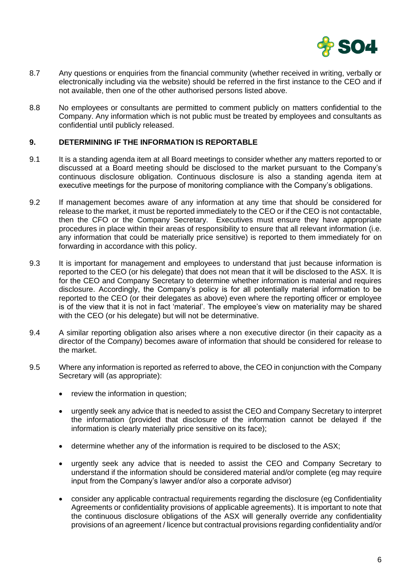

- 8.7 Any questions or enquiries from the financial community (whether received in writing, verbally or electronically including via the website) should be referred in the first instance to the CEO and if not available, then one of the other authorised persons listed above.
- 8.8 No employees or consultants are permitted to comment publicly on matters confidential to the Company. Any information which is not public must be treated by employees and consultants as confidential until publicly released.

## **9. DETERMINING IF THE INFORMATION IS REPORTABLE**

- 9.1 It is a standing agenda item at all Board meetings to consider whether any matters reported to or discussed at a Board meeting should be disclosed to the market pursuant to the Company's continuous disclosure obligation. Continuous disclosure is also a standing agenda item at executive meetings for the purpose of monitoring compliance with the Company's obligations.
- 9.2 If management becomes aware of any information at any time that should be considered for release to the market, it must be reported immediately to the CEO or if the CEO is not contactable, then the CFO or the Company Secretary. Executives must ensure they have appropriate procedures in place within their areas of responsibility to ensure that all relevant information (i.e. any information that could be materially price sensitive) is reported to them immediately for on forwarding in accordance with this policy.
- 9.3 It is important for management and employees to understand that just because information is reported to the CEO (or his delegate) that does not mean that it will be disclosed to the ASX. It is for the CEO and Company Secretary to determine whether information is material and requires disclosure. Accordingly, the Company's policy is for all potentially material information to be reported to the CEO (or their delegates as above) even where the reporting officer or employee is of the view that it is not in fact 'material'. The employee's view on materiality may be shared with the CEO (or his delegate) but will not be determinative.
- 9.4 A similar reporting obligation also arises where a non executive director (in their capacity as a director of the Company) becomes aware of information that should be considered for release to the market.
- 9.5 Where any information is reported as referred to above, the CEO in conjunction with the Company Secretary will (as appropriate):
	- review the information in question;
	- urgently seek any advice that is needed to assist the CEO and Company Secretary to interpret the information (provided that disclosure of the information cannot be delayed if the information is clearly materially price sensitive on its face);
	- determine whether any of the information is required to be disclosed to the ASX;
	- urgently seek any advice that is needed to assist the CEO and Company Secretary to understand if the information should be considered material and/or complete (eg may require input from the Company's lawyer and/or also a corporate advisor)
	- consider any applicable contractual requirements regarding the disclosure (eg Confidentiality Agreements or confidentiality provisions of applicable agreements). It is important to note that the continuous disclosure obligations of the ASX will generally override any confidentiality provisions of an agreement / licence but contractual provisions regarding confidentiality and/or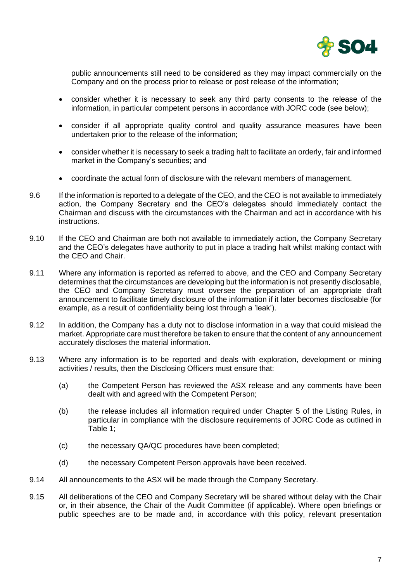

public announcements still need to be considered as they may impact commercially on the Company and on the process prior to release or post release of the information;

- consider whether it is necessary to seek any third party consents to the release of the information, in particular competent persons in accordance with JORC code (see below);
- consider if all appropriate quality control and quality assurance measures have been undertaken prior to the release of the information;
- consider whether it is necessary to seek a trading halt to facilitate an orderly, fair and informed market in the Company's securities; and
- coordinate the actual form of disclosure with the relevant members of management.
- 9.6 If the information is reported to a delegate of the CEO, and the CEO is not available to immediately action, the Company Secretary and the CEO's delegates should immediately contact the Chairman and discuss with the circumstances with the Chairman and act in accordance with his instructions.
- 9.10 If the CEO and Chairman are both not available to immediately action, the Company Secretary and the CEO's delegates have authority to put in place a trading halt whilst making contact with the CEO and Chair.
- 9.11 Where any information is reported as referred to above, and the CEO and Company Secretary determines that the circumstances are developing but the information is not presently disclosable, the CEO and Company Secretary must oversee the preparation of an appropriate draft announcement to facilitate timely disclosure of the information if it later becomes disclosable (for example, as a result of confidentiality being lost through a 'leak').
- 9.12 In addition, the Company has a duty not to disclose information in a way that could mislead the market. Appropriate care must therefore be taken to ensure that the content of any announcement accurately discloses the material information.
- 9.13 Where any information is to be reported and deals with exploration, development or mining activities / results, then the Disclosing Officers must ensure that:
	- (a) the Competent Person has reviewed the ASX release and any comments have been dealt with and agreed with the Competent Person;
	- (b) the release includes all information required under Chapter 5 of the Listing Rules, in particular in compliance with the disclosure requirements of JORC Code as outlined in Table 1;
	- (c) the necessary QA/QC procedures have been completed;
	- (d) the necessary Competent Person approvals have been received.
- 9.14 All announcements to the ASX will be made through the Company Secretary.
- 9.15 All deliberations of the CEO and Company Secretary will be shared without delay with the Chair or, in their absence, the Chair of the Audit Committee (if applicable). Where open briefings or public speeches are to be made and, in accordance with this policy, relevant presentation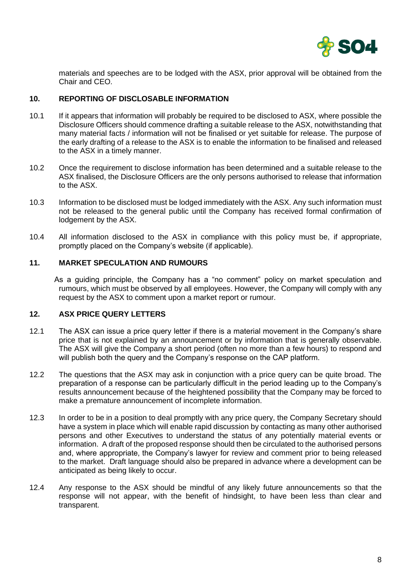

materials and speeches are to be lodged with the ASX, prior approval will be obtained from the Chair and CEO.

# **10. REPORTING OF DISCLOSABLE INFORMATION**

- 10.1 If it appears that information will probably be required to be disclosed to ASX, where possible the Disclosure Officers should commence drafting a suitable release to the ASX, notwithstanding that many material facts / information will not be finalised or yet suitable for release. The purpose of the early drafting of a release to the ASX is to enable the information to be finalised and released to the ASX in a timely manner.
- 10.2 Once the requirement to disclose information has been determined and a suitable release to the ASX finalised, the Disclosure Officers are the only persons authorised to release that information to the ASX.
- 10.3 Information to be disclosed must be lodged immediately with the ASX. Any such information must not be released to the general public until the Company has received formal confirmation of lodgement by the ASX.
- 10.4 All information disclosed to the ASX in compliance with this policy must be, if appropriate, promptly placed on the Company's website (if applicable).

#### **11. MARKET SPECULATION AND RUMOURS**

As a guiding principle, the Company has a "no comment" policy on market speculation and rumours, which must be observed by all employees. However, the Company will comply with any request by the ASX to comment upon a market report or rumour.

# **12. ASX PRICE QUERY LETTERS**

- 12.1 The ASX can issue a price query letter if there is a material movement in the Company's share price that is not explained by an announcement or by information that is generally observable. The ASX will give the Company a short period (often no more than a few hours) to respond and will publish both the query and the Company's response on the CAP platform.
- 12.2 The questions that the ASX may ask in conjunction with a price query can be quite broad. The preparation of a response can be particularly difficult in the period leading up to the Company's results announcement because of the heightened possibility that the Company may be forced to make a premature announcement of incomplete information.
- 12.3 In order to be in a position to deal promptly with any price query, the Company Secretary should have a system in place which will enable rapid discussion by contacting as many other authorised persons and other Executives to understand the status of any potentially material events or information. A draft of the proposed response should then be circulated to the authorised persons and, where appropriate, the Company's lawyer for review and comment prior to being released to the market. Draft language should also be prepared in advance where a development can be anticipated as being likely to occur.
- 12.4 Any response to the ASX should be mindful of any likely future announcements so that the response will not appear, with the benefit of hindsight, to have been less than clear and transparent.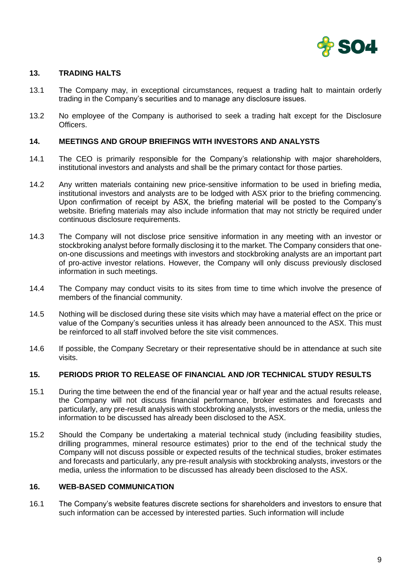

## **13. TRADING HALTS**

- 13.1 The Company may, in exceptional circumstances, request a trading halt to maintain orderly trading in the Company's securities and to manage any disclosure issues.
- 13.2 No employee of the Company is authorised to seek a trading halt except for the Disclosure Officers.

#### **14. MEETINGS AND GROUP BRIEFINGS WITH INVESTORS AND ANALYSTS**

- 14.1 The CEO is primarily responsible for the Company's relationship with major shareholders, institutional investors and analysts and shall be the primary contact for those parties.
- 14.2 Any written materials containing new price-sensitive information to be used in briefing media, institutional investors and analysts are to be lodged with ASX prior to the briefing commencing. Upon confirmation of receipt by ASX, the briefing material will be posted to the Company's website. Briefing materials may also include information that may not strictly be required under continuous disclosure requirements.
- 14.3 The Company will not disclose price sensitive information in any meeting with an investor or stockbroking analyst before formally disclosing it to the market. The Company considers that oneon-one discussions and meetings with investors and stockbroking analysts are an important part of pro-active investor relations. However, the Company will only discuss previously disclosed information in such meetings.
- 14.4 The Company may conduct visits to its sites from time to time which involve the presence of members of the financial community.
- 14.5 Nothing will be disclosed during these site visits which may have a material effect on the price or value of the Company's securities unless it has already been announced to the ASX. This must be reinforced to all staff involved before the site visit commences.
- 14.6 If possible, the Company Secretary or their representative should be in attendance at such site visits.

## **15. PERIODS PRIOR TO RELEASE OF FINANCIAL AND /OR TECHNICAL STUDY RESULTS**

- 15.1 During the time between the end of the financial year or half year and the actual results release, the Company will not discuss financial performance, broker estimates and forecasts and particularly, any pre-result analysis with stockbroking analysts, investors or the media, unless the information to be discussed has already been disclosed to the ASX.
- 15.2 Should the Company be undertaking a material technical study (including feasibility studies, drilling programmes, mineral resource estimates) prior to the end of the technical study the Company will not discuss possible or expected results of the technical studies, broker estimates and forecasts and particularly, any pre-result analysis with stockbroking analysts, investors or the media, unless the information to be discussed has already been disclosed to the ASX.

#### **16. WEB-BASED COMMUNICATION**

16.1 The Company's website features discrete sections for shareholders and investors to ensure that such information can be accessed by interested parties. Such information will include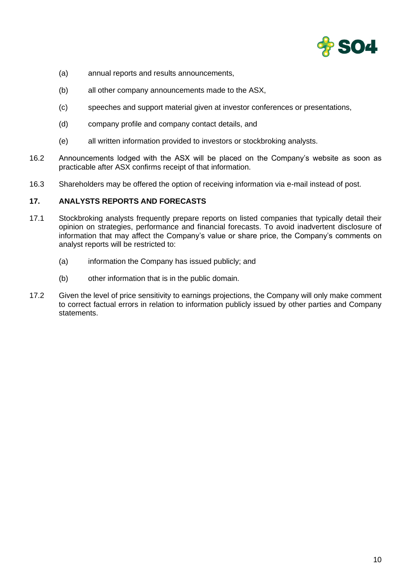

- (a) annual reports and results announcements,
- (b) all other company announcements made to the ASX,
- (c) speeches and support material given at investor conferences or presentations,
- (d) company profile and company contact details, and
- (e) all written information provided to investors or stockbroking analysts.
- 16.2 Announcements lodged with the ASX will be placed on the Company's website as soon as practicable after ASX confirms receipt of that information.
- 16.3 Shareholders may be offered the option of receiving information via e-mail instead of post.

## **17. ANALYSTS REPORTS AND FORECASTS**

- 17.1 Stockbroking analysts frequently prepare reports on listed companies that typically detail their opinion on strategies, performance and financial forecasts. To avoid inadvertent disclosure of information that may affect the Company's value or share price, the Company's comments on analyst reports will be restricted to:
	- (a) information the Company has issued publicly; and
	- (b) other information that is in the public domain.
- 17.2 Given the level of price sensitivity to earnings projections, the Company will only make comment to correct factual errors in relation to information publicly issued by other parties and Company statements.